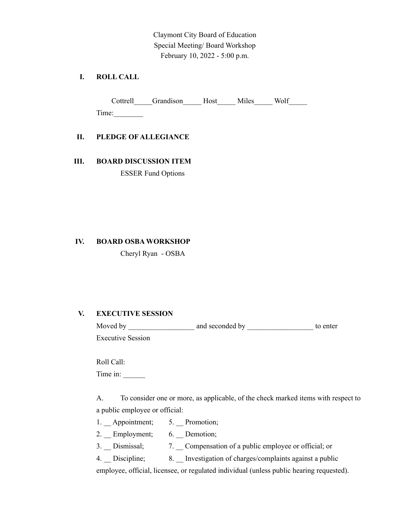Claymont City Board of Education Special Meeting/ Board Workshop February 10, 2022 - 5:00 p.m.

## **I. ROLL CALL**

Cottrell\_\_\_\_\_Grandison\_\_\_\_\_Host\_\_\_\_\_ Miles\_\_\_\_\_ Wolf\_\_\_\_\_ Time:\_\_\_\_\_\_\_\_

#### **II. PLEDGE OF ALLEGIANCE**

# **III. BOARD DISCUSSION ITEM**

ESSER Fund Options

# **IV. BOARD OSBA WORKSHOP**

Cheryl Ryan - OSBA

## **V. EXECUTIVE SESSION**

| Moved by                 | and seconded by | to enter |
|--------------------------|-----------------|----------|
| <b>Executive Session</b> |                 |          |

Roll Call:

Time in:

A. To consider one or more, as applicable, of the check marked items with respect to a public employee or official:

- 1. \_\_ Appointment; 5. \_\_ Promotion;
- 2. \_\_ Employment; 6. \_\_ Demotion;
- 3. \_\_ Dismissal; 7. \_\_ Compensation of a public employee or official; or
- 4. Discipline; 8. Investigation of charges/complaints against a public

employee, official, licensee, or regulated individual (unless public hearing requested).